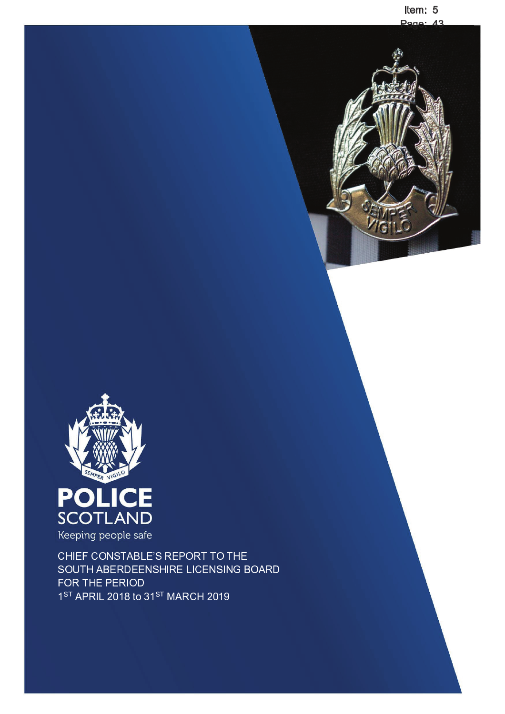



Keeping people safe

CHIEF CONSTABLE'S REPORT TO THE SOUTH ABERDEENSHIRE LICENSING BOARD FOR THE PERIOD 1<sup>ST</sup> APRIL 2018 to 31<sup>ST</sup> MARCH 2019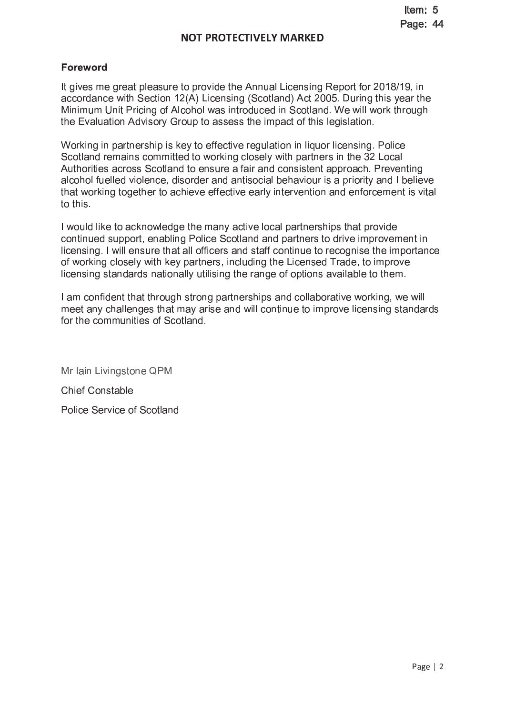## **Foreword**

J <sup>K</sup> <sup>L</sup> <sup>M</sup> N <sup>O</sup> <sup>P</sup> <sup>Q</sup> <sup>O</sup> <sup>L</sup> <sup>R</sup> <sup>O</sup> <sup>S</sup> <sup>K</sup> <sup>T</sup> <sup>U</sup> O <sup>S</sup> <sup>P</sup> <sup>V</sup> <sup>R</sup> <sup>O</sup> <sup>K</sup> <sup>W</sup> <sup>T</sup> <sup>R</sup> <sup>W</sup> <sup>N</sup> <sup>M</sup> X <sup>O</sup> <sup>K</sup> <sup>Y</sup> <sup>O</sup> <sup>Z</sup> [ [ <sup>V</sup> <sup>S</sup> <sup>U</sup> \ <sup>M</sup> ] <sup>O</sup> [ <sup>P</sup> <sup>M</sup> [ <sup>L</sup> ^ <sup>O</sup> <sup>T</sup> <sup>W</sup> <sup>R</sup> <sup>K</sup> \_ <sup>W</sup> <sup>R</sup> ` <sup>a</sup> <sup>b</sup> <sup>c</sup> <sup>d</sup> <sup>b</sup> <sup>e</sup> <sup>f</sup> <sup>M</sup> [ S ] ] <sup>W</sup> <sup>R</sup> <sup>X</sup> <sup>S</sup> [ ] <sup>O</sup> <sup>g</sup> <sup>M</sup> K <sup>Y</sup> <sup>h</sup> <sup>O</sup> ] <sup>K</sup> <sup>M</sup> W [ <sup>b</sup> ` <sup>i</sup> <sup>Z</sup> <sup>j</sup> \ <sup>M</sup> ] <sup>O</sup> [ <sup>P</sup> <sup>M</sup> [ <sup>L</sup> <sup>i</sup> <sup>h</sup> ] <sup>W</sup> <sup>K</sup> <sup>U</sup> S [ <sup>X</sup> <sup>j</sup> <sup>Z</sup> ] <sup>K</sup> ` <sup>a</sup> <sup>a</sup> <sup>k</sup> <sup>l</sup> <sup>m</sup> <sup>V</sup> <sup>R</sup> <sup>M</sup> [ <sup>L</sup> <sup>K</sup> <sup>Y</sup> <sup>M</sup> P <sup>n</sup> <sup>O</sup> <sup>S</sup> <sup>R</sup> <sup>K</sup> <sup>Y</sup> <sup>O</sup> o M a R M ( M  $\sim$  2 U g S P M  $\sim$  2 U  $\sim$  2 U  $\sim$  2 U  $\sim$  2 U  $\sim$  0 U  $\sim$  0 U  $\sim$  0 U  $\sim$  0 U  $\sim$  0 U  $\sim$  0 U  $\sim$  0 U  $\sim$  0 U  $\sim$  0 U  $\sim$  0 U  $\sim$  0 U  $\sim$  0 U  $\sim$  0 U  $\sim$  0 U  $\sim$  0 U  $\sim$  0 U  $\sim$  0 U  $\$ K Y O t N S U V S K M W P W R N W W W V T K W S P P O P O P P P O P P O P P U S K W E O L M P U O L M P U S K

r <sup>W</sup> <sup>R</sup> <sup>s</sup> <sup>M</sup> [ <sup>L</sup> <sup>M</sup> [ <sup>T</sup> <sup>S</sup> <sup>R</sup> <sup>K</sup> [ <sup>O</sup> <sup>R</sup> <sup>P</sup> <sup>Y</sup> <sup>M</sup> <sup>T</sup> <sup>M</sup> P <sup>s</sup> <sup>O</sup> <sup>n</sup> <sup>K</sup> <sup>W</sup> <sup>O</sup> \_ \_ <sup>O</sup> ] <sup>K</sup> <sup>M</sup> N <sup>O</sup> <sup>R</sup> <sup>O</sup> <sup>L</sup> <sup>V</sup> <sup>U</sup> S <sup>K</sup> <sup>M</sup> W [ <sup>M</sup> [ <sup>U</sup> <sup>M</sup> v <sup>V</sup> <sup>W</sup> <sup>R</sup> <sup>U</sup> <sup>M</sup> ] <sup>O</sup> [ <sup>P</sup> <sup>M</sup> [ <sup>L</sup> <sup>l</sup> <sup>q</sup> <sup>W</sup> <sup>U</sup> <sup>M</sup> ] <sup>O</sup> h A K U S A M ( P ) W K W A K W G W R s M ( W W R S W P O W P O U N G W P O W W R P M E W D W P M [ K Y O W ] S Z <sup>V</sup> <sup>K</sup> <sup>Y</sup> <sup>W</sup> <sup>R</sup> <sup>M</sup> K <sup>M</sup> O <sup>P</sup> <sup>S</sup> ] <sup>R</sup> <sup>W</sup> <sup>P</sup> <sup>P</sup> <sup>h</sup> ] <sup>W</sup> <sup>K</sup> <sup>U</sup> S [ <sup>X</sup> <sup>K</sup> <sup>W</sup> <sup>O</sup> [ <sup>P</sup> <sup>V</sup> <sup>R</sup> <sup>O</sup> <sup>S</sup> \_ <sup>S</sup> <sup>M</sup> <sup>R</sup> <sup>S</sup> [ <sup>X</sup> ] <sup>W</sup> [ <sup>P</sup> <sup>M</sup> P <sup>K</sup> <sup>O</sup> [ <sup>K</sup> <sup>S</sup> <sup>T</sup> <sup>T</sup> <sup>R</sup> <sup>W</sup> <sup>S</sup> ] <sup>Y</sup> <sup>l</sup> <sup>q</sup> <sup>R</sup> <sup>O</sup> <sup>N</sup> <sup>O</sup> [ <sup>K</sup> <sup>M</sup> [ <sup>L</sup> S <sup>U</sup> ] <sup>W</sup> <sup>Y</sup> <sup>W</sup> <sup>U</sup> \_ <sup>V</sup> <sup>O</sup> <sup>U</sup> <sup>U</sup> O <sup>X</sup> <sup>N</sup> <sup>M</sup> W <sup>U</sup> O [ ] <sup>O</sup> <sup>f</sup> <sup>X</sup> <sup>M</sup> P <sup>W</sup> <sup>R</sup> <sup>X</sup> <sup>O</sup> <sup>R</sup> <sup>S</sup> [ <sup>X</sup> <sup>S</sup> [ <sup>K</sup> <sup>M</sup> P <sup>W</sup> ] <sup>M</sup> S <sup>U</sup> <sup>x</sup> <sup>O</sup> <sup>Y</sup> <sup>S</sup> <sup>N</sup> <sup>M</sup> W <sup>V</sup> <sup>R</sup> <sup>M</sup> P <sup>S</sup> <sup>T</sup> <sup>R</sup> <sup>M</sup> W <sup>R</sup> <sup>M</sup> K <sup>n</sup> <sup>S</sup> [ <sup>X</sup> <sup>J</sup> <sup>x</sup> <sup>O</sup> <sup>U</sup> <sup>M</sup> O <sup>N</sup> <sup>O</sup> K Y S K G W S A G W R S A N O O O S R U N O O S R U N O O O A R N O O O O O O S R U N O O O D O D O D O L O D K W K Y M P LAND AND RESIDENCE

J G W S O K W S G U O X L O X L O X L O G S ( N S ) K M N O U W N O U W N O R P Y M T P K Y G W N M T P K T R W ] <sup>W</sup> [ <sup>K</sup> <sup>M</sup> [ <sup>V</sup> <sup>O</sup> <sup>X</sup> <sup>P</sup> <sup>V</sup> <sup>T</sup> <sup>T</sup> <sup>W</sup> <sup>R</sup> <sup>K</sup> <sup>f</sup> <sup>O</sup> [ <sup>S</sup> <sup>x</sup> <sup>U</sup> <sup>M</sup> [ <sup>L</sup> <sup>q</sup> <sup>W</sup> <sup>U</sup> <sup>M</sup> ] <sup>O</sup> <sup>h</sup> ] <sup>W</sup> <sup>K</sup> <sup>U</sup> S [ <sup>X</sup> <sup>S</sup> [ <sup>X</sup> <sup>T</sup> <sup>S</sup> <sup>R</sup> <sup>K</sup> [ <sup>O</sup> <sup>R</sup> <sup>P</sup> <sup>K</sup> <sup>W</sup> <sup>X</sup> <sup>R</sup> <sup>M</sup> N <sup>O</sup> <sup>M</sup> <sup>Q</sup> <sup>T</sup> <sup>R</sup> <sup>W</sup> <sup>N</sup> <sup>O</sup> <sup>Q</sup> <sup>O</sup> [ <sup>K</sup> <sup>M</sup> [ U <sup>M</sup> ] <sup>O</sup> [ <sup>P</sup> <sup>M</sup> [ <sup>L</sup> <sup>l</sup> <sup>J</sup> <sup>g</sup> <sup>M</sup> <sup>U</sup> <sup>U</sup> <sup>O</sup> [ <sup>P</sup> <sup>V</sup> <sup>R</sup> <sup>O</sup> <sup>K</sup> <sup>Y</sup> <sup>S</sup> <sup>K</sup> <sup>S</sup> <sup>U</sup> <sup>U</sup> <sup>W</sup> \_ \_ <sup>M</sup> ] <sup>O</sup> <sup>R</sup> <sup>P</sup> <sup>S</sup> [ <sup>X</sup> <sup>P</sup> <sup>K</sup> <sup>S</sup> \_ \_ ] <sup>W</sup> [ <sup>K</sup> <sup>M</sup> [ <sup>V</sup> <sup>O</sup> <sup>K</sup> <sup>W</sup> <sup>R</sup> <sup>O</sup> ] <sup>W</sup> <sup>L</sup> [ <sup>M</sup> P <sup>O</sup> <sup>K</sup> <sup>Y</sup> <sup>O</sup> <sup>M</sup> <sup>Q</sup> <sup>T</sup> <sup>W</sup> <sup>R</sup> <sup>K</sup> <sup>S</sup> [ ] <sup>O</sup> W R s M ( ) U n g W R s M ( ) U W R f M ( ) U V X M ( ) U V X M ( ) O [ P O F O F O F O f K W M Q T R W N O F R U <sup>M</sup> ] <sup>O</sup> [ <sup>P</sup> <sup>M</sup> [ <sup>L</sup> <sup>P</sup> <sup>K</sup> <sup>S</sup> [ <sup>X</sup> <sup>S</sup> <sup>R</sup> <sup>X</sup> <sup>P</sup> [ <sup>S</sup> <sup>K</sup> <sup>M</sup> W [ <sup>S</sup> <sup>U</sup> <sup>U</sup> n <sup>V</sup> <sup>K</sup> <sup>M</sup> <sup>U</sup> <sup>M</sup> P <sup>M</sup> [ <sup>L</sup> <sup>K</sup> <sup>Y</sup> <sup>O</sup> <sup>R</sup> <sup>S</sup> [ <sup>L</sup> <sup>O</sup> <sup>W</sup> \_ <sup>W</sup> <sup>T</sup> <sup>K</sup> <sup>M</sup> W [ <sup>P</sup> <sup>S</sup> <sup>N</sup> <sup>S</sup> <sup>M</sup> <sup>U</sup> <sup>S</sup> <sup>x</sup> <sup>U</sup> O <sup>K</sup> <sup>W</sup> <sup>K</sup> <sup>Y</sup> <sup>O</sup> <sup>Q</sup> <sup>l</sup>

J <sup>S</sup> <sup>Q</sup> ] <sup>W</sup> [ \_ <sup>M</sup> X <sup>O</sup> [ <sup>K</sup> <sup>K</sup> <sup>Y</sup> <sup>S</sup> <sup>K</sup> <sup>K</sup> <sup>Y</sup> <sup>R</sup> <sup>W</sup> <sup>V</sup> <sup>L</sup> <sup>Y</sup> <sup>P</sup> <sup>K</sup> <sup>R</sup> <sup>W</sup> [ <sup>L</sup> <sup>T</sup> <sup>S</sup> <sup>R</sup> <sup>K</sup> [ <sup>O</sup> <sup>R</sup> <sup>P</sup> <sup>Y</sup> <sup>M</sup> <sup>T</sup> <sup>P</sup> <sup>S</sup> [ <sup>X</sup> ] <sup>W</sup> <sup>U</sup> <sup>U</sup> S <sup>x</sup> <sup>W</sup> <sup>R</sup> <sup>S</sup> <sup>K</sup> <sup>M</sup> N <sup>O</sup> <sup>g</sup> <sup>W</sup> <sup>R</sup> <sup>s</sup> <sup>M</sup> [ <sup>L</sup> <sup>f</sup> <sup>g</sup> <sup>O</sup> <sup>g</sup> <sup>M</sup> <sup>U</sup> <sup>U</sup> Q <sup>O</sup> <sup>O</sup> <sup>K</sup> <sup>S</sup> [ <sup>n</sup> ] <sup>Y</sup> <sup>S</sup> <sup>U</sup> <sup>U</sup> O [ <sup>L</sup> <sup>O</sup> <sup>P</sup> <sup>K</sup> <sup>Y</sup> <sup>S</sup> <sup>K</sup> <sup>Q</sup> <sup>S</sup> <sup>n</sup> <sup>S</sup> <sup>R</sup> <sup>M</sup> P <sup>O</sup> <sup>S</sup> [ <sup>X</sup> <sup>g</sup> <sup>M</sup> <sup>U</sup> <sup>U</sup> ] <sup>W</sup> [ <sup>K</sup> <sup>M</sup> [ <sup>V</sup> <sup>O</sup> <sup>K</sup> <sup>W</sup> <sup>M</sup> <sup>Q</sup> <sup>T</sup> <sup>R</sup> <sup>W</sup> <sup>N</sup> <sup>O</sup> <sup>U</sup> <sup>M</sup> ] <sup>O</sup> [ <sup>P</sup> <sup>M</sup> [ <sup>L</sup> <sup>P</sup> <sup>K</sup> <sup>S</sup> [ <sup>X</sup> <sup>S</sup> <sup>R</sup> <sup>X</sup> <sup>P</sup>  $\mathcal{L} = \{ \mathcal{L} \mid \mathcal{L} \in \mathcal{L} \}$  where  $\mathcal{L} = \{ \mathcal{L} \mid \mathcal{L} \in \mathcal{L} \}$  we have the set of  $\mathcal{L} = \{ \mathcal{L} \mid \mathcal{L} \in \mathcal{L} \}$ 

o R J S M  $\sim$  100  $\mu$  m  $\sim$  100  $\mu$  m  $\sim$  100  $\mu$ When you want to be a set of the set of the set of the set of the set of the set of the set of the set of the q w U M and O M  $\sim$  0.000 m  $\sim$  0.000 m  $\sim$  0.000 m  $\sim$  0.000 m  $\sim$  0.000 m  $\sim$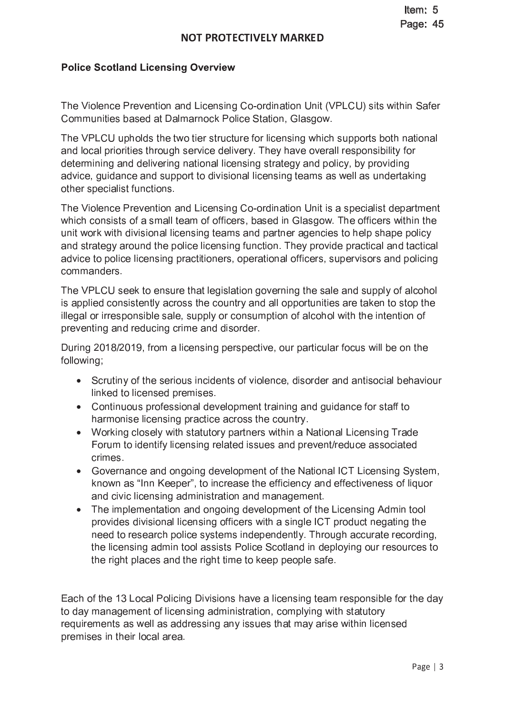### **Police Scotland Licensing Overview**

The Violence Prevention and Licensing Co-ordination Unit (VPLCU) sits within Safer Communities based at Dalmarnock Police Station, Glasgow.

The VPLCU upholds the two tier structure for licensing which supports both national and local priorities through service delivery. They have overall responsibility for determining and delivering national licensing strategy and policy, by providing advice, guidance and support to divisional licensing teams as well as undertaking other specialist functions.

The Violence Prevention and Licensing Co-ordination Unit is a specialist department which consists of a small team of officers, based in Glasgow. The officers within the unit work with divisional licensing teams and partner agencies to help shape policy and strategy around the police licensing function. They provide practical and tactical advice to police licensing practitioners, operational officers, supervisors and policing commanders.

The VPLCU seek to ensure that legislation governing the sale and supply of alcohol is applied consistently across the country and all opportunities are taken to stop the illegal or irresponsible sale, supply or consumption of alcohol with the intention of preventing and reducing crime and disorder.

During 2018/2019, from a licensing perspective, our particular focus will be on the following;

- Scrutiny of the serious incidents of violence, disorder and antisocial behaviour linked to licensed premises.
- Continuous professional development training and quidance for staff to harmonise licensing practice across the country.
- Working closely with statutory partners within a National Licensing Trade Forum to identify licensing related issues and prevent/reduce associated crimes.
- Governance and ongoing development of the National ICT Licensing System, known as "Inn Keeper", to increase the efficiency and effectiveness of liquor and civic licensing administration and management.
- The implementation and ongoing development of the Licensing Admin tool  $\bullet$ provides divisional licensing officers with a single ICT product negating the need to research police systems independently. Through accurate recording, the licensing admin tool assists Police Scotland in deploying our resources to the right places and the right time to keep people safe.

Each of the 13 Local Policing Divisions have a licensing team responsible for the day to day management of licensing administration, complying with statutory requirements as well as addressing any issues that may arise within licensed premises in their local area.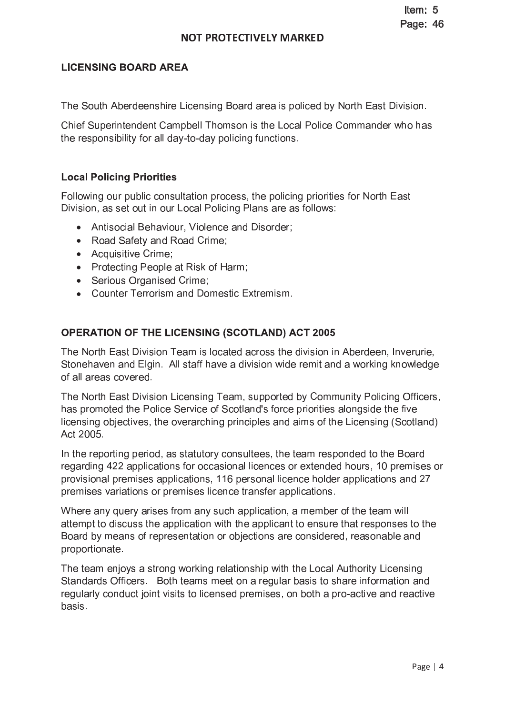## **LICENSING BOARD AREA**

The South Aberdeenshire Licensing Board area is policed by North East Division.

Chief Superintendent Campbell Thomson is the Local Police Commander who has the responsibility for all day-to-day policing functions.

#### **Local Policing Priorities**

Following our public consultation process, the policing priorities for North East Division, as set out in our Local Policing Plans are as follows:

- Antisocial Behaviour, Violence and Disorder;
- Road Safety and Road Crime;
- Acquisitive Crime;
- Protecting People at Risk of Harm;
- Serious Organised Crime;
- Counter Terrorism and Domestic Extremism.

### **OPERATION OF THE LICENSING (SCOTLAND) ACT 2005**

The North East Division Team is located across the division in Aberdeen, Inverurie, Stonehaven and Elgin. All staff have a division wide remit and a working knowledge of all areas covered

The North East Division Licensing Team, supported by Community Policing Officers, has promoted the Police Service of Scotland's force priorities alongside the five licensing objectives, the overarching principles and aims of the Licensing (Scotland) Act 2005.

In the reporting period, as statutory consultees, the team responded to the Board regarding 422 applications for occasional licences or extended hours, 10 premises or provisional premises applications, 116 personal licence holder applications and 27 premises variations or premises licence transfer applications.

Where any query arises from any such application, a member of the team will attempt to discuss the application with the applicant to ensure that responses to the Board by means of representation or objections are considered, reasonable and proportionate.

The team enjoys a strong working relationship with the Local Authority Licensing Standards Officers. Both teams meet on a regular basis to share information and regularly conduct joint visits to licensed premises, on both a pro-active and reactive basis.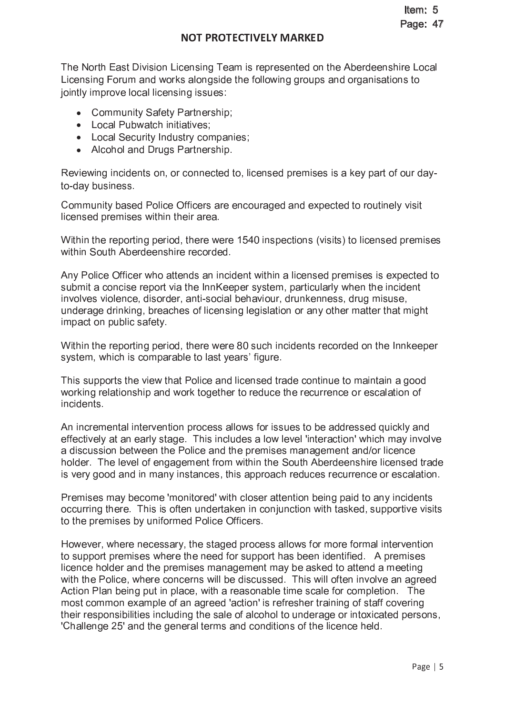# J <sup>K</sup> <sup>L</sup> <sup>M</sup> <sup>N</sup> <sup>K</sup> <sup>L</sup> <sup>O</sup> <sup>P</sup> <sup>L</sup> <sup>Q</sup> <sup>R</sup> <sup>O</sup> <sup>S</sup> <sup>T</sup> <sup>U</sup> <sup>V</sup> <sup>N</sup> <sup>W</sup> <sup>O</sup> <sup>X</sup>

\_ ` <sup>a</sup> <sup>b</sup> <sup>c</sup> <sup>d</sup> <sup>e</sup> ` <sup>f</sup> <sup>g</sup> <sup>h</sup> <sup>e</sup> <sup>i</sup> <sup>j</sup> k <sup>j</sup> h <sup>j</sup> c <sup>l</sup> <sup>m</sup> <sup>j</sup> n <sup>a</sup> <sup>l</sup> <sup>h</sup> <sup>j</sup> <sup>l</sup> <sup>o</sup> \_ <sup>a</sup> <sup>g</sup> <sup>p</sup> <sup>j</sup> h <sup>d</sup> <sup>a</sup> <sup>q</sup> <sup>d</sup> <sup>a</sup> <sup>h</sup> <sup>a</sup> <sup>l</sup> <sup>e</sup> <sup>a</sup> <sup>r</sup> <sup>c</sup> <sup>l</sup> <sup>e</sup> ` <sup>a</sup> <sup>s</sup> <sup>t</sup> <sup>a</sup> <sup>d</sup> <sup>r</sup> <sup>a</sup> <sup>a</sup> <sup>l</sup> <sup>h</sup> ` <sup>j</sup> <sup>d</sup> <sup>a</sup> <sup>m</sup> <sup>c</sup> <sup>n</sup> <sup>g</sup> <sup>u</sup> m j l o v c d g l r x c d y h j r a e a c u u c u u c u c u c w q h g l o o d c w q l r c d o g l j h g e j e  ${\bf r}$  is a unit contribution of the unit of the distribution of the set of the set of the set of the set of the set of the set of the set of the set of the set of the set of the set of the set of the set of the set of th

- · <sup>~</sup> c p w l j e l a d e l a d e l a d e l a d e l a d e l a d e l a d e l a d e l a d e l a d e l a d e l a d h è
- Local Pubwatch initiatives
- Local Security Industry companies
- Alcohol and Drugs Partnership

a k j l o j l o j l o j l a n e a r a r e a r e c a r e c g d a r q d a p j h g d a g d e c g d e c z c w d r e c r g i l a h j l a h j l a h j l a h h j l a h j l a h j l a h j l a h j l a h j l a h j l a h j l a h j l

c p w l j a r c u j n a d a a l n a d a a l n a l n a r g o a r a r a n e a r a r e c d c w e j l a u i l a u u j n a l h a r q d a p j h a h a g d a g d a g d a g d a g d a g d a g d a g d a g d a g d a g d a g d a g d

j e j l o g a d j l o g a d a d a d a d a d a d a n e j e j h j h j h j e h j e c u j n a l h a r q d a p j h x <sup>j</sup> e ` <sup>j</sup> <sup>l</sup> <sup>c</sup> <sup>w</sup> <sup>e</sup> ` <sup>s</sup> <sup>t</sup> <sup>a</sup> <sup>d</sup> <sup>r</sup> <sup>a</sup> <sup>a</sup> <sup>l</sup> <sup>h</sup> ` <sup>j</sup> <sup>d</sup> <sup>a</sup> <sup>d</sup> <sup>a</sup> <sup>n</sup> <sup>c</sup> <sup>d</sup> <sup>r</sup> <sup>a</sup> <sup>r</sup>

s l c c g e a l r h g l j l n j l n j l n j l g u j l g u j l g u j n a r a r q d a p j h a h j h a n e a r e a h w t p j h a d a q a d a d a d a a g e g d a d a d a g d e j n g d e j n w u g d u g d u g d u g d e j l n j r j <sup>l</sup> <sup>k</sup> <sup>c</sup> <sup>u</sup> k <sup>a</sup> <sup>h</sup> <sup>k</sup> <sup>j</sup> c <sup>u</sup> a <sup>l</sup> <sup>n</sup> <sup>a</sup> <sup>r</sup> <sup>j</sup> h <sup>c</sup> <sup>d</sup> <sup>r</sup> <sup>a</sup> <sup>d</sup> <sup>g</sup> <sup>l</sup> <sup>e</sup> <sup>j</sup> <sup>h</sup> <sup>c</sup> <sup>n</sup> <sup>j</sup> g <sup>u</sup> <sup>t</sup> <sup>a</sup> ` <sup>g</sup> <sup>k</sup> <sup>j</sup> c <sup>w</sup> <sup>d</sup> <sup>r</sup> <sup>d</sup> <sup>w</sup> <sup>l</sup> <sup>y</sup> <sup>a</sup> <sup>l</sup> <sup>l</sup> <sup>a</sup> <sup>h</sup> <sup>h</sup> <sup>r</sup> <sup>d</sup> <sup>w</sup> <sup>o</sup> <sup>p</sup> <sup>j</sup> h <sup>w</sup> <sup>h</sup> <sup>a</sup> w l r a g o a g n a h c a h j l o u a d a d a d a d e j d e j c l c d g l c e e a d p g e e a d e e a d e p j o j p g n e c l q w t u j n h g z a e l q w t u j n h g z a e l g z a e l g z a e l g z a e l g z a e l g z a e

j e j l o d a d j c r a d a d a d a d a x a d a d a c a d a n j l n j l n j l a n c d r a r a r a l l l l a a h <sup>|</sup> <sup>h</sup> <sup>e</sup> <sup>a</sup> <sup>p</sup> <sup>x</sup> ` <sup>j</sup> n ` <sup>j</sup> h <sup>n</sup> ¡ ¢

\_ ` <sup>j</sup> h <sup>h</sup> <sup>w</sup> <sup>q</sup> <sup>q</sup> <sup>c</sup> <sup>d</sup> <sup>e</sup> <sup>h</sup> <sup>e</sup> ` <sup>a</sup> <sup>k</sup> <sup>j</sup> a <sup>x</sup> <sup>e</sup> ` <sup>g</sup> <sup>e</sup> <sup>c</sup> <sup>u</sup> <sup>j</sup> n <sup>a</sup> <sup>g</sup> <sup>l</sup> <sup>r</sup> <sup>u</sup> <sup>j</sup> n <sup>a</sup> <sup>l</sup> <sup>h</sup> <sup>a</sup> <sup>r</sup> <sup>e</sup> <sup>d</sup> <sup>g</sup> <sup>r</sup> <sup>a</sup> <sup>n</sup> <sup>c</sup> <sup>l</sup> <sup>e</sup> <sup>j</sup> <sup>l</sup> <sup>w</sup> <sup>a</sup> <sup>e</sup> <sup>c</sup> <sup>p</sup> <sup>g</sup> <sup>j</sup> <sup>l</sup> <sup>e</sup> <sup>g</sup> <sup>j</sup> <sup>l</sup> <sup>g</sup> <sup>o</sup> <sup>c</sup> <sup>c</sup> <sup>r</sup> x c d a u g l r a u g l r a d a c o a e c o a d a r w n a r w d a n w d d a n w d a l n a d a h n g u g e j c l j <sup>l</sup> <sup>n</sup> <sup>j</sup> r <sup>a</sup> <sup>l</sup> <sup>e</sup> <sup>h</sup>

s l e a d a l e g u j l e j d c n a h g u u c d a h a r a h w a h w a h e c t a g r r d a r a r a r a r a r a a z a n e j h e g o a u g o a g o a g u c a u a u a u a u a u a u a d g n e j l e a d n e j n e j l k c u k a g r j h j c l t a c a a l e a g l r e g l r e g l r e g d a p j h a h p g l g o a p a l r e g l r x d u j n a l i c u r a l o a u c a u a l e z d c p a l e z a d a d a c e s t a d r a l h a l h a l h a u j n a r e d a r e

d a p j h a r a r a r a r a r a r a r a r a d g e e a l e g j r e j l o q g j r e g j r e c g j r e l n j l n c n w d j l o e a d a d a d a d a d a d a d a d a l n e j e g h y a r a r a r a r a r a r a r a r a k j h j e e c'hoariezh ar an daou ar an daou ar an daou ar c'hoariezh ar c'hoariezh ar c'hoariezh ar c'hoariezh ar a

¦ <sup>c</sup> <sup>x</sup> <sup>a</sup> <sup>k</sup> <sup>a</sup> <sup>d</sup> <sup>x</sup> ` <sup>a</sup> <sup>d</sup> <sup>a</sup> <sup>l</sup> <sup>a</sup> <sup>n</sup> <sup>a</sup> <sup>h</sup> <sup>h</sup> <sup>g</sup> <sup>d</sup> <sup>|</sup> <sup>e</sup> ` <sup>a</sup> <sup>h</sup> <sup>e</sup> <sup>g</sup> <sup>o</sup> <sup>a</sup> <sup>r</sup> <sup>q</sup> <sup>d</sup> <sup>c</sup> <sup>n</sup> <sup>a</sup> <sup>h</sup> <sup>h</sup> <sup>g</sup> <sup>u</sup> <sup>u</sup> c <sup>x</sup> <sup>h</sup> <sup>z</sup> <sup>c</sup> <sup>d</sup> <sup>p</sup> <sup>c</sup> <sup>d</sup> <sup>a</sup> <sup>z</sup> <sup>c</sup> <sup>d</sup> <sup>p</sup> <sup>g</sup> <sup>u</sup> <sup>j</sup> <sup>l</sup> <sup>e</sup> <sup>a</sup> <sup>d</sup> <sup>k</sup> <sup>a</sup> <sup>l</sup> <sup>e</sup> <sup>j</sup> c <sup>l</sup> e c d a p j h a h a h a d a e a d a r a r a r a r a c d e j a g h t a l j r a l j r a l j a r a r a r a p j h a u j n a d a d a g l r e a g d a p j h a h p g l g o a p a l e p a g h g h y a r e c g e a l r g e a l r g p a x j e c u j n a n a d l h x j u t a r j h n w h a r j h a r i j h a r j h a r j l k c u k a r j l k a r j l k s n e j l o q w e j l q u g n a g h c l g d a g h c l g t u a e j p a h n g u a c d n c d n c d n c d n c l d p c h e n c g l g o d a r a r a r a r a r a g n e j h d a h d a h d a d g j l o c z h e g j l o c z n c n c k e i a j d d a h j d a h j d a h j l o e j a h j l o e c w l r a d o a c w l e c d j l e c d j l e c u a r a d ` <sup>g</sup> <sup>u</sup> <sup>u</sup> a <sup>l</sup> <sup>o</sup> <sup>a</sup> § ¤ <sup>g</sup> <sup>l</sup> <sup>r</sup> <sup>e</sup> ` <sup>a</sup> <sup>o</sup> <sup>a</sup> <sup>l</sup> <sup>a</sup> <sup>d</sup> <sup>g</sup> <sup>u</sup> <sup>e</sup> <sup>a</sup> <sup>d</sup> <sup>p</sup> <sup>h</sup> <sup>g</sup> <sup>l</sup> <sup>r</sup> <sup>n</sup> <sup>c</sup> <sup>l</sup> <sup>r</sup> <sup>j</sup> e <sup>j</sup> c <sup>l</sup> <sup>h</sup> <sup>c</sup> <sup>z</sup> <sup>e</sup> ` <sup>a</sup> <sup>u</sup> <sup>j</sup> n <sup>a</sup> <sup>l</sup> <sup>n</sup> <sup>a</sup> ` <sup>a</sup> <sup>u</sup> r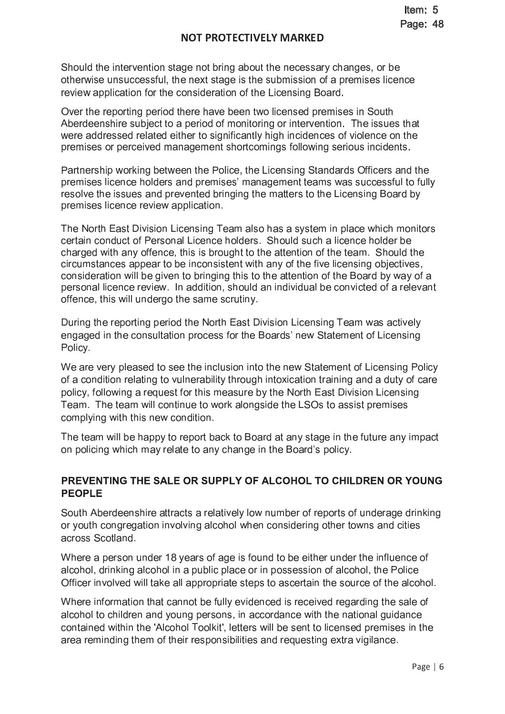## ³ ´ <sup>µ</sup> ¶ · ´ <sup>µ</sup> ¸ <sup>¹</sup> <sup>µ</sup> <sup>º</sup> » ¸ <sup>¼</sup> <sup>½</sup> <sup>¾</sup> ¿ · <sup>À</sup> ¸ <sup>Á</sup>

È <sup>É</sup> <sup>Ê</sup> <sup>Ë</sup> <sup>Ì</sup> Í <sup>Î</sup> <sup>É</sup> <sup>Ï</sup> <sup>Ð</sup> <sup>Ñ</sup> <sup>Î</sup> <sup>Ï</sup> <sup>Ò</sup> <sup>Ó</sup> <sup>Ï</sup> <sup>Ñ</sup> <sup>Î</sup> <sup>Ð</sup> Ê <sup>Ñ</sup> <sup>Ô</sup> <sup>Î</sup> <sup>Õ</sup> <sup>Ö</sup> <sup>Ï</sup> <sup>Ñ</sup> <sup>Ê</sup> <sup>Î</sup> <sup>×</sup> <sup>Ò</sup> <sup>Ð</sup> <sup>Ñ</sup> <sup>Ö</sup> <sup>Õ</sup> <sup>×</sup> <sup>Ê</sup> <sup>Ë</sup> <sup>Î</sup> <sup>Î</sup> <sup>É</sup> <sup>Ï</sup> <sup>Ñ</sup> <sup>Ï</sup> <sup>Ø</sup> <sup>Ï</sup> <sup>Ô</sup> <sup>Ô</sup> <sup>Õ</sup> <sup>Ò</sup> <sup>Ù</sup> <sup>Ø</sup> <sup>É</sup> <sup>Õ</sup> <sup>Ñ</sup> <sup>Ö</sup> <sup>Ï</sup> <sup>Ô</sup> <sup>Ú</sup> <sup>Ê</sup> <sup>Ò</sup> <sup>×</sup> <sup>Ï</sup> Ê <sup>Î</sup> <sup>É</sup> <sup>Ï</sup> <sup>Ò</sup> <sup>Û</sup> <sup>Ð</sup> Ô <sup>Ï</sup> <sup>Ë</sup> <sup>Ñ</sup> <sup>Ô</sup> <sup>Ë</sup> <sup>Ø</sup> <sup>Ø</sup> <sup>Ï</sup> <sup>Ô</sup> <sup>Ô</sup> <sup>Ü</sup> <sup>Ë</sup> <sup>Ì</sup> <sup>Ú</sup> <sup>Î</sup> <sup>É</sup> <sup>Ï</sup> <sup>Ñ</sup> <sup>Ï</sup> <sup>Ý</sup> <sup>Î</sup> <sup>Ô</sup> <sup>Î</sup> <sup>Õ</sup> <sup>Ö</sup> <sup>Ï</sup> <sup>Ð</sup> Ô <sup>Î</sup> <sup>É</sup> <sup>Ï</sup> <sup>Ô</sup> <sup>Ë</sup> <sup>×</sup> <sup>Þ</sup> <sup>Ð</sup> Ô <sup>Ô</sup> <sup>Ð</sup> Ê <sup>Ñ</sup> <sup>Ê</sup> <sup>Ü</sup> <sup>Õ</sup> <sup>ß</sup> <sup>Ò</sup> <sup>Ï</sup> <sup>Þ</sup> <sup>Ð</sup> Ô <sup>Ï</sup> <sup>Ô</sup> <sup>Ì</sup> <sup>Ð</sup> Ø <sup>Ï</sup> <sup>Ñ</sup> <sup>Ø</sup> <sup>Ï</sup> Ò <sup>Ï</sup> <sup>Ó</sup> <sup>Ð</sup> Ï <sup>Û</sup> <sup>Õ</sup> <sup>ß</sup> <sup>ß</sup> <sup>Ì</sup> <sup>Ð</sup> Ø <sup>Õ</sup> <sup>Î</sup> <sup>Ð</sup> Ê <sup>Ñ</sup> <sup>Ü</sup> <sup>Ê</sup> <sup>Ò</sup> <sup>Î</sup> <sup>É</sup> <sup>Ï</sup> <sup>Ø</sup> <sup>Ê</sup> <sup>Ñ</sup> <sup>Ô</sup> <sup>Ð</sup> Í <sup>Ï</sup> <sup>Ò</sup> <sup>Õ</sup> <sup>Î</sup> <sup>Ð</sup> Ê <sup>Ñ</sup> <sup>Ê</sup> <sup>Ü</sup> <sup>Î</sup> <sup>É</sup> <sup>Ï</sup> <sup>à</sup> <sup>Ð</sup> Ø <sup>Ï</sup> <sup>Ñ</sup> <sup>Ô</sup> <sup>Ð</sup> <sup>Ñ</sup> <sup>Ö</sup> <sup>á</sup> <sup>Ê</sup> <sup>Õ</sup> <sup>Ò</sup> <sup>Í</sup> <sup>â</sup>

ã <sup>Ó</sup> <sup>Ï</sup> <sup>Ò</sup> <sup>Î</sup> <sup>É</sup> <sup>Ï</sup> <sup>Ò</sup> <sup>Ï</sup> <sup>ß</sup> <sup>Ê</sup> <sup>Ò</sup> <sup>Î</sup> <sup>Ð</sup> <sup>Ñ</sup> <sup>Ö</sup> <sup>ß</sup> <sup>Ï</sup> <sup>Ò</sup> <sup>Ð</sup> Ê <sup>Í</sup> <sup>Î</sup> <sup>É</sup> <sup>Ï</sup> <sup>Ò</sup> <sup>Ï</sup> <sup>É</sup> <sup>Õ</sup> <sup>Ó</sup> <sup>Ï</sup> <sup>×</sup> <sup>Ï</sup> <sup>Ï</sup> <sup>Ñ</sup> <sup>Î</sup> <sup>Û</sup> <sup>Ê</sup> <sup>Ì</sup> <sup>Ð</sup> Ø <sup>Ï</sup> <sup>Ñ</sup> <sup>Ô</sup> <sup>Ï</sup> <sup>Í</sup> <sup>ß</sup> <sup>Ò</sup> <sup>Ï</sup> <sup>Þ</sup> <sup>Ð</sup> Ô <sup>Ï</sup> <sup>Ô</sup> <sup>Ð</sup> <sup>Ñ</sup> <sup>È</sup> <sup>Ê</sup> <sup>Ë</sup> <sup>Î</sup> <sup>É</sup> ä × <sup>Ï</sup> <sup>Ò</sup> <sup>Í</sup> <sup>Ï</sup> <sup>Ï</sup> <sup>Ñ</sup> <sup>Ô</sup> <sup>É</sup> <sup>Ð</sup> <sup>Ò</sup> <sup>Ï</sup> <sup>Ô</sup> <sup>Ë</sup> <sup>×</sup> <sup>å</sup> <sup>Ï</sup> <sup>Ø</sup> <sup>Î</sup> <sup>Î</sup> <sup>Ê</sup> <sup>Õ</sup> <sup>ß</sup> <sup>Ï</sup> <sup>Ò</sup> <sup>Ð</sup> Ê <sup>Í</sup> <sup>Ê</sup> <sup>Ü</sup> <sup>Þ</sup> <sup>Ê</sup> <sup>Ñ</sup> <sup>Ð</sup> Î <sup>Ê</sup> <sup>Ò</sup> <sup>Ð</sup> <sup>Ñ</sup> <sup>Ö</sup> <sup>Ê</sup> <sup>Ò</sup> <sup>Ð</sup> <sup>Ñ</sup> <sup>Î</sup> <sup>Ï</sup> <sup>Ò</sup> <sup>Ó</sup> <sup>Ï</sup> <sup>Ñ</sup> <sup>Î</sup> <sup>Ð</sup> Ê <sup>Ñ</sup> <sup>â</sup> <sup>æ</sup> <sup>É</sup> <sup>Ï</sup> <sup>Ð</sup> Ô <sup>Ô</sup> <sup>Ë</sup> <sup>Ï</sup> <sup>Ô</sup> <sup>Î</sup> <sup>É</sup> <sup>Õ</sup> <sup>Î</sup> Û <sup>Ï</sup> <sup>Ò</sup> <sup>Ï</sup> <sup>Õ</sup> <sup>Í</sup> <sup>Í</sup> <sup>Ò</sup> <sup>Ï</sup> <sup>Ô</sup> <sup>Ô</sup> <sup>Ï</sup> <sup>Í</sup> <sup>Ò</sup> <sup>Ï</sup> <sup>Ì</sup> Õ <sup>Î</sup> <sup>Ï</sup> <sup>Í</sup> <sup>Ï</sup> <sup>Ð</sup> Î <sup>É</sup> <sup>Ï</sup> <sup>Ò</sup> <sup>Î</sup> <sup>Ê</sup> <sup>Ô</sup> <sup>Ð</sup> Ö <sup>Ñ</sup> <sup>Ð</sup> Ü <sup>Ð</sup> Ø <sup>Õ</sup> <sup>Ñ</sup> <sup>Î</sup> <sup>Ì</sup> Ù <sup>É</sup> <sup>Ð</sup> Ö <sup>É</sup> <sup>Ð</sup> <sup>Ñ</sup> <sup>Ø</sup> <sup>Ð</sup> Í <sup>Ï</sup> <sup>Ñ</sup> <sup>Ø</sup> <sup>Ï</sup> <sup>Ô</sup> <sup>Ê</sup> <sup>Ü</sup> <sup>Ó</sup> <sup>Ð</sup> Ê <sup>Ì</sup> Ï <sup>Ñ</sup> <sup>Ø</sup> <sup>Ï</sup> <sup>Ê</sup> <sup>Ñ</sup> <sup>Î</sup> <sup>É</sup> <sup>Ï</sup> ß <sup>Ò</sup> <sup>Ï</sup> <sup>Þ</sup> <sup>Ð</sup> Ô <sup>Ï</sup> <sup>Ô</sup> <sup>Ê</sup> <sup>Ò</sup> <sup>ß</sup> <sup>Ï</sup> <sup>Ò</sup> <sup>Ø</sup> <sup>Ï</sup> <sup>Ð</sup> Ó <sup>Ï</sup> <sup>Í</sup> <sup>Þ</sup> <sup>Õ</sup> <sup>Ñ</sup> <sup>Õ</sup> <sup>Ö</sup> <sup>Ï</sup> <sup>Þ</sup> <sup>Ï</sup> <sup>Ñ</sup> <sup>Î</sup> <sup>Ô</sup> <sup>É</sup> <sup>Ê</sup> <sup>Ò</sup> <sup>Î</sup> <sup>Ø</sup> <sup>Ê</sup> <sup>Þ</sup> <sup>Ð</sup> <sup>Ñ</sup> <sup>Ö</sup> <sup>Ô</sup> <sup>Ü</sup> <sup>Ê</sup> <sup>Ì</sup> <sup>Ì</sup> Ê <sup>Û</sup> <sup>Ð</sup> <sup>Ñ</sup> <sup>Ö</sup> <sup>Ô</sup> <sup>Ï</sup> <sup>Ò</sup> <sup>Ð</sup> Ê <sup>Ë</sup> <sup>Ô</sup> <sup>Ð</sup> <sup>Ñ</sup> <sup>Ø</sup> <sup>Ð</sup> Í <sup>Ï</sup> <sup>Ñ</sup> <sup>Î</sup> <sup>Ô</sup> <sup>â</sup>

ç Õ <sup>Ò</sup> <sup>Î</sup> <sup>Ñ</sup> <sup>Ï</sup> <sup>Ò</sup> <sup>Ô</sup> <sup>É</sup> <sup>Ð</sup> <sup>ß</sup> <sup>Û</sup> <sup>Ê</sup> <sup>Ò</sup> <sup>è</sup> <sup>Ð</sup> <sup>Ñ</sup> <sup>Ö</sup> <sup>×</sup> <sup>Ï</sup> <sup>Î</sup> <sup>Û</sup> <sup>Ï</sup> <sup>Ï</sup> <sup>Ñ</sup> <sup>Î</sup> <sup>É</sup> <sup>Ï</sup> <sup>ç</sup> Ê <sup>Ì</sup> <sup>Ð</sup> Ø <sup>Ï</sup> <sup>Ú</sup> <sup>Î</sup> <sup>É</sup> <sup>Ï</sup> <sup>à</sup> <sup>Ð</sup> Ø <sup>Ï</sup> <sup>Ñ</sup> <sup>Ô</sup> <sup>Ð</sup> <sup>Ñ</sup> <sup>Ö</sup> <sup>È</sup> <sup>Î</sup> <sup>Õ</sup> <sup>Ñ</sup> <sup>Í</sup> <sup>Õ</sup> <sup>Ò</sup> <sup>Í</sup> <sup>Ô</sup> <sup>ã</sup> <sup>Ü</sup> <sup>Ü</sup> <sup>Ð</sup> Ø <sup>Ï</sup> <sup>Ò</sup> <sup>Ô</sup> <sup>Õ</sup> <sup>Ñ</sup> <sup>Í</sup> <sup>Î</sup> <sup>É</sup> <sup>Ï</sup> é <sup>ê</sup> <sup>ë</sup> <sup>ì</sup> <sup>í</sup> î <sup>ë</sup> <sup>î</sup> <sup>ï</sup> <sup>í</sup> ð <sup>ë</sup> <sup>ñ</sup> <sup>ð</sup> <sup>ë</sup> <sup>ò</sup> <sup>ó</sup> <sup>ï</sup> ô <sup>ë</sup> <sup>ê</sup> <sup>î</sup> <sup>õ</sup> <sup>ñ</sup> <sup>ô</sup> <sup>é</sup> <sup>ê</sup> <sup>ë</sup> <sup>ì</sup> <sup>í</sup> î <sup>ë</sup> <sup>î</sup> <sup>ö</sup> <sup>ì</sup> <sup>õ</sup> <sup>ñ</sup> <sup>õ</sup> <sup>÷</sup> <sup>ë</sup> <sup>ì</sup> <sup>ë</sup> <sup>ñ</sup> <sup>ø</sup> <sup>ø</sup> <sup>ë</sup> <sup>õ</sup> <sup>ì</sup> <sup>î</sup> <sup>ù</sup> <sup>õ</sup> <sup>î</sup> <sup>î</sup> <sup>ú</sup> <sup>ð</sup> <sup>ð</sup> <sup>ë</sup> <sup>î</sup> <sup>î</sup> <sup>û</sup> <sup>ú</sup> <sup>ï</sup> <sup>ø</sup> <sup>ó</sup> <sup>û</sup> <sup>ú</sup> <sup>ï</sup> <sup>ï</sup> ü s er brendt efter i en en en en en en beste eller ste en help se en en en en en beste en legen. De en eller <sup>ý</sup> <sup>þ</sup> <sup>ÿ</sup> <sup>þ</sup> <sup>ÿ</sup> <sup>þ</sup> <sup>þ</sup> <sup>ý</sup> <sup>þ</sup> - <sup>þ</sup>

The Neutr Fest Division Lissmaine Teams also has a sustant in place which meaniton <sup>þ</sup> <sup>ý</sup> <sup>þ</sup> <sup>ý</sup> <sup>ÿ</sup> <sup>þ</sup> <sup>þ</sup> <sup>þ</sup> <sup>ý</sup> <sup>ÿ</sup> <sup>ÿ</sup> <sup>þ</sup> <sup>þ</sup> <sup>þ</sup> <sup>ý</sup> <sup>þ</sup> e þeiminni þeiminni þeiminni þeiminni þeiminni þeiminni þeiminni þeiminni þeiminni þeiminni þeiminni þeiminni þ sinarraska a samar að hafa samar sintandrriða samar á dan finns lissassinn skinskinna بالمتحدد والمستقبل المستقبل المستقبل المستقبل المستقبل المستقبل المستقبل المستقبل الأزور والمستقبل المستقبل المستقبل ورمزروا والمستقبل المسترومين والمستقبل والمستور والسماء المستقبل المستقبل والمستقبل ومستقبل المستمعر <sup>þ</sup> <sup>þ</sup> <sup>ÿ</sup> <sup>þ</sup> <sup>ý</sup> <sup>þ</sup> <sup>ÿ</sup> <sup>þ</sup> <sup>ÿ</sup> <sup>ý</sup>

 $\blacksquare$  . The figure is the figure of the figure  $\blacksquare$  . It is the figure of the set of  $\blacksquare$  , and the figure is the figure engaged in the consultation process for the Boards' new Statement of Licensin n. . . . .

مالون به وزوجته و الكور لورو و من العالم التوجيد و عمله و العالم و العالم و العالم و العالم العالم و العالم و ا of a casa dilles salables de redesemble de libre de seula leta esta altas desalectos. As de desdes af a as a stiarr fallarriaga a nagríoghtaí fan thig nag agríoghais a bhanta a bhaiste Dirigiona Liggnain.  $\tau$  a que  $\tau$  les taxons unilles entimies to insule algorithm that LOOs to a saint musules. <sup>ÿ</sup> <sup>þ</sup> 

 $\overline{\bm{\tau}}$ b en formullig en bestuden af bestuden til formullet en formullen forting and states the formula on policing which may relate to any change in the Board's policy.

### PREVENTING THE SALE OR SUPPLY OF ALCOHOL TO CHILDREN OR YOUNG **PEOPLE**

O suite. A b sud samebius, stius sis, singletiuskulleur unusk su stjusnauts, stjuned susan skuinking حافاته امترته حسن بما برجمانها وحشرتها واحتملت مصارب المواجب وحشان المنتول عرضا والمتمومون والتنمين برج  $z = 5$   $z = 7$   $z = 1$ 

4 <sup>þ</sup> <sup>ý</sup> <sup>þ</sup> <sup>þ</sup> <sup>ý</sup> <sup>ÿ</sup> <sup>þ</sup> <sup>ý</sup> <sup>&</sup>lt; <sup>=</sup> <sup>þ</sup> <sup>ý</sup> <sup>ÿ</sup> <sup>þ</sup> <sup>ÿ</sup> <sup>þ</sup> <sup>þ</sup> <sup>þ</sup> <sup>ý</sup> <sup>þ</sup> <sup>ý</sup> <sup>þ</sup> <sup>þ</sup> <sup>þ</sup> مزاح المعالم المعاصر المستوجب من من من من المستقلب من المستقلب المعاصر المستقلب المعاصر المستقلب المستقلب المستق Affices is religion in the legal consequence of the contract of the consequent that also be the final

ه براجم مراط برموارام وموسوع المورواني وموجود والمراجع والمسوم والمطل ومانه وموسوعاته والفار وموادنين المستخلصين وطلب والشيب وموجولون ومومون ومومون ومستخدر المواحد ومستحلفات والمواحدات  $\tau$  , and  $\tau$  is the first of  $\tau$  of  $\tau$  is the fight of  $\tau$  , with the second the figure of  $\tau$  , and  $\tau$  is the figure of  $\tau$ و مرور از بوارد و مراجع و مراجع من الموارد و مرارا از باز مرور مرور من درار باز باز و از از باز مراجع و مرور و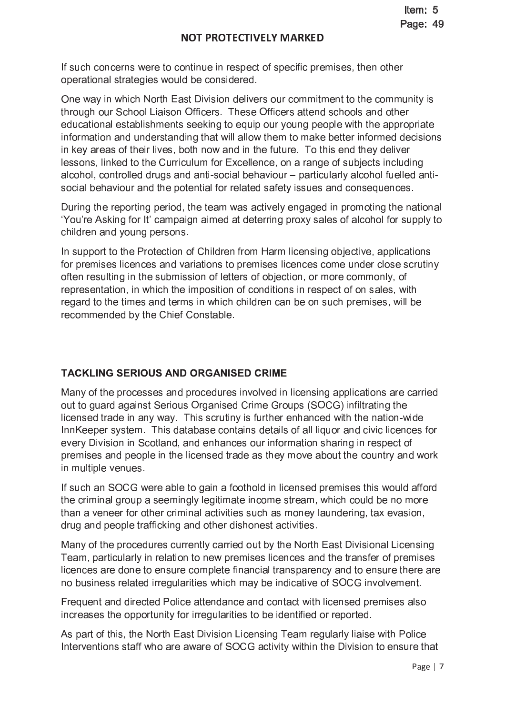\_ ` <sup>a</sup> <sup>b</sup> <sup>c</sup> <sup>d</sup> <sup>c</sup> <sup>e</sup> <sup>f</sup> <sup>c</sup> <sup>g</sup> <sup>h</sup> <sup>f</sup> <sup>a</sup> <sup>i</sup> <sup>g</sup> <sup>h</sup> <sup>g</sup> <sup>j</sup> <sup>e</sup> <sup>c</sup> <sup>e</sup> <sup>f</sup> <sup>j</sup> <sup>k</sup> <sup>f</sup> <sup>b</sup> <sup>g</sup> <sup>k</sup> <sup>f</sup> <sup>h</sup> <sup>g</sup> <sup>a</sup> <sup>l</sup> <sup>g</sup> <sup>c</sup> <sup>j</sup> <sup>e</sup> ` <sup>a</sup> <sup>l</sup> <sup>g</sup> <sup>c</sup> <sup>k</sup> ` <sup>k</sup> c <sup>l</sup> <sup>h</sup> <sup>g</sup> <sup>m</sup> <sup>k</sup> a <sup>g</sup> <sup>a</sup> <sup>n</sup> <sup>j</sup> <sup>d</sup> <sup>g</sup> <sup>f</sup> <sup>e</sup> <sup>j</sup> <sup>d</sup> <sup>g</sup> <sup>h</sup> e l g h o j k e f o j h o j h o j g a i e b p r s g a i e f a k r g g a i e b p r s g c e f a k r g r t a k r

und de h j d k f i d a f a g h j d w e f r g h a e f r g h a e m m b f k j m g f j j j j j j j j j j j j j j j i d h e b h e f ua e f ua e f ua d a t g h a t g a g a g a g a g a o g h a o g h a o g h a o f r a o f r e g h g r b c o j a d m g a g g a g g a g a g i b e g a g e b h v e b f q l g e l p g i k j d j d j d j d j d j d j d k f r g h a j o f r g j o j d o j d o j d o j d g m j d n j d o j j j g j j j j j g h k f g h g r r g r r g r k f o h g o h p k h p k h p k h p k f e i o f e i o f g t g t g t g t g t g t d g t d k a g f r j d g v r g p o <sup>p</sup> c <sup>e</sup> <sup>d</sup> <sup>e</sup> <sup>p</sup> <sup>n</sup> <sup>c</sup> <sup>e</sup> <sup>f</sup> <sup>j</sup> <sup>h</sup> <sup>e</sup> <sup>p</sup> <sup>p</sup> g <sup>r</sup> <sup>r</sup> <sup>h</sup> <sup>b</sup> <sup>q</sup> <sup>a</sup> <sup>o</sup> <sup>f</sup> <sup>r</sup> <sup>o</sup> <sup>f</sup> <sup>j</sup> <sup>k</sup> <sup>a</sup> <sup>e</sup> <sup>c</sup> <sup>k</sup> o <sup>p</sup> <sup>s</sup> <sup>g</sup> <sup>d</sup> <sup>o</sup> <sup>z</sup> <sup>k</sup> e <sup>b</sup> <sup>h</sup> <sup>l</sup> <sup>o</sup> <sup>h</sup> <sup>j</sup> <sup>k</sup> c <sup>b</sup> <sup>p</sup> o <sup>h</sup> <sup>p</sup> v <sup>o</sup> <sup>p</sup> c <sup>e</sup> <sup>d</sup> <sup>e</sup> <sup>p</sup> ` <sup>b</sup> <sup>g</sup> <sup>p</sup> <sup>p</sup> g <sup>r</sup> <sup>o</sup> <sup>f</sup> <sup>j</sup> <sup>k</sup> a e c k e b h o f r j d e j g f j k o p o j g p o j g r a b g a o j v k a b g a b g a o f r c e f a g a b g f c

y b h k f g h g h g j g o m i o m i o a o c j k z g p v g f q o q o q o q o q o q i d g j d j d g j d g f o j c <sup>d</sup> <sup>k</sup> <sup>p</sup> r <sup>h</sup> <sup>g</sup> <sup>f</sup> <sup>o</sup> <sup>f</sup> <sup>r</sup> <sup>v</sup> <sup>e</sup> <sup>b</sup> <sup>f</sup> <sup>q</sup> <sup>l</sup> <sup>g</sup> <sup>h</sup> <sup>a</sup> <sup>e</sup> <sup>f</sup> <sup>a</sup> <sup>t</sup>

\_ <sup>f</sup> <sup>a</sup> <sup>b</sup> <sup>l</sup> <sup>l</sup> <sup>e</sup> <sup>h</sup> <sup>j</sup> <sup>j</sup> <sup>e</sup> <sup>j</sup> <sup>d</sup> <sup>g</sup> <sup>h</sup> <sup>e</sup> <sup>j</sup> <sup>g</sup> <sup>c</sup> <sup>j</sup> <sup>k</sup> e <sup>f</sup> <sup>e</sup> ` <sup>d</sup> <sup>k</sup> <sup>p</sup> r <sup>h</sup> <sup>g</sup> <sup>f</sup> ` <sup>h</sup> <sup>e</sup> <sup>m</sup> <sup>o</sup> <sup>h</sup> <sup>m</sup> <sup>p</sup> <sup>k</sup> c <sup>g</sup> <sup>f</sup> <sup>a</sup> <sup>k</sup> <sup>f</sup> <sup>q</sup> <sup>e</sup> <sup>s</sup> <sup>g</sup> <sup>c</sup> <sup>j</sup> <sup>k</sup> z <sup>g</sup> <sup>n</sup> <sup>o</sup> <sup>l</sup> <sup>l</sup> <sup>p</sup> <sup>k</sup> c <sup>o</sup> <sup>j</sup> <sup>k</sup> e <sup>f</sup> <sup>a</sup>  $\bullet$  for a c g a c  $\bullet$  in the f a g a g a g a p k a g a p k c g a c e m g b f r g h c p e a g a g a c h b j k f v k f  $\bullet$ e j g a b p j d g a b s m k a a k e f e f e f e f g h a e s g g c j g c j k e f n e h m e h g c e m e f p v n e h g a g a g a g a g a g a k m l e a k j a k i d a k j e f a k j k e f a k f h g a l g a l g a o p g a n i k j h j e j d g j d g j g h m a k f i d k f i d k p r h g f c o f g f c o f s g e f a b c d l h g m k a g a n i k p h g c e m g f r g f r g r s v g r s g t d g t o s p g t a j o s p g t a j o s p g t a j o s p g t o s p g t o

### **TACKLING SERIOUS AND ORGANISED CRIME**

o f v e c g a a g a g r b h g a k f a k f p k f p k f p k f a k f a k f q o l p k c o j k e f a o h g c o h k e h r o h r o h a j h k a g h a g h a g h a g r o j h a k m g h a t l a t d g h a t l a t l a t l a t l a t l p <sup>k</sup> c <sup>g</sup> <sup>f</sup> <sup>a</sup> <sup>g</sup> <sup>r</sup> <sup>j</sup> <sup>h</sup> <sup>o</sup> <sup>r</sup> <sup>g</sup> <sup>k</sup> <sup>f</sup> <sup>o</sup> <sup>f</sup> <sup>v</sup> <sup>i</sup> <sup>o</sup> <sup>v</sup> <sup>t</sup> } <sup>d</sup> <sup>k</sup> a <sup>a</sup> <sup>c</sup> <sup>h</sup> <sup>b</sup> <sup>j</sup> <sup>k</sup> <sup>f</sup> <sup>v</sup> <sup>k</sup> a ` <sup>b</sup> <sup>h</sup> <sup>j</sup> <sup>d</sup> <sup>g</sup> <sup>h</sup> <sup>g</sup> <sup>f</sup> <sup>d</sup> <sup>o</sup> <sup>f</sup> <sup>c</sup> <sup>g</sup> <sup>r</sup> <sup>i</sup> <sup>k</sup> j <sup>d</sup> <sup>j</sup> <sup>d</sup> <sup>g</sup> <sup>f</sup> <sup>o</sup> <sup>j</sup> <sup>k</sup> e <sup>f</sup> <sup>i</sup> <sup>k</sup> r <sup>g</sup> \_ <sup>f</sup> <sup>f</sup> ¤ <sup>g</sup> <sup>g</sup> <sup>l</sup> <sup>g</sup> <sup>h</sup> <sup>a</sup> <sup>v</sup> <sup>a</sup> <sup>j</sup> <sup>g</sup> <sup>m</sup> <sup>t</sup> } <sup>d</sup> <sup>k</sup> a <sup>r</sup> <sup>o</sup> <sup>j</sup> <sup>o</sup> <sup>s</sup> <sup>o</sup> <sup>a</sup> <sup>g</sup> <sup>c</sup> <sup>e</sup> <sup>f</sup> <sup>j</sup> <sup>o</sup> <sup>k</sup> <sup>f</sup> <sup>a</sup> <sup>r</sup> <sup>g</sup> <sup>j</sup> <sup>o</sup> <sup>k</sup> <sup>p</sup> a <sup>e</sup> ` <sup>o</sup> <sup>p</sup> <sup>p</sup> <sup>p</sup> <sup>k</sup> <sup>b</sup> <sup>e</sup> <sup>h</sup> <sup>o</sup> <sup>f</sup> <sup>r</sup> <sup>c</sup> <sup>k</sup> z <sup>k</sup> c <sup>p</sup> <sup>k</sup> c <sup>g</sup> <sup>f</sup> <sup>c</sup> <sup>g</sup> <sup>a</sup> ` <sup>e</sup> <sup>h</sup> g h v y k f e f e f r n o f r n o f r n o f a e b h k f h k f h k f e h m o j k f a d o h k f h g a l g a l g l h g a o f r l g e l g e l g a g r j h o r j d g o a j d g v m e z g o s e b j j d g c e b j h v o f j h v o f k f m b p j b p j b g a t b g a t b g a t b g a t b g a t b g a t b g a t b g a t b g a t b g a t b g a t b g

. I g o s p o s p d o k f o k f o k f a g a g a g a g f a g r l h g m k a g a j d k a i e b p r o k a i e h r o j <sup>d</sup> <sup>g</sup> <sup>c</sup> <sup>h</sup> <sup>k</sup> <sup>m</sup> <sup>k</sup> <sup>f</sup> <sup>o</sup> <sup>p</sup> <sup>q</sup> <sup>h</sup> <sup>e</sup> <sup>b</sup> <sup>l</sup> <sup>o</sup> <sup>a</sup> <sup>g</sup> <sup>g</sup> <sup>m</sup> <sup>k</sup> <sup>f</sup> <sup>q</sup> <sup>p</sup> v <sup>p</sup> g <sup>q</sup> <sup>k</sup> j <sup>k</sup> <sup>m</sup> <sup>o</sup> <sup>j</sup> <sup>g</sup> <sup>k</sup> <sup>f</sup> <sup>c</sup> <sup>e</sup> <sup>m</sup> <sup>g</sup> <sup>a</sup> <sup>j</sup> <sup>h</sup> <sup>g</sup> <sup>o</sup> <sup>m</sup> <sup>n</sup> <sup>i</sup> <sup>d</sup> <sup>k</sup> c <sup>d</sup> <sup>c</sup> <sup>e</sup> <sup>b</sup> <sup>p</sup> r <sup>s</sup> <sup>g</sup> <sup>f</sup> <sup>e</sup> <sup>m</sup> <sup>e</sup> <sup>h</sup> <sup>g</sup> j d o f o z g h c h k m k f o p o c j k j k j k j k j k j o a m e f g v p o b f r g h k f g n j o a k f n j o r h b q o f r l g o f r l g e l p g j h o f r e f g a j o f r e f g a j d a d e f g a j o c j o c j k j k j k j

o f e c a c b h h g f j p v c o h h k g r e b j d g w e h j d g w e h j d x o a j d x o p i d x o p i k f o p } <sup>g</sup> <sup>o</sup> <sup>m</sup> <sup>n</sup> <sup>l</sup> <sup>o</sup> <sup>h</sup> <sup>j</sup> <sup>k</sup> c <sup>b</sup> <sup>p</sup> o <sup>h</sup> <sup>p</sup> v <sup>k</sup> <sup>f</sup> <sup>h</sup> <sup>g</sup> <sup>p</sup> o <sup>j</sup> <sup>k</sup> e <sup>f</sup> <sup>j</sup> <sup>e</sup> <sup>f</sup> <sup>g</sup> <sup>i</sup> <sup>l</sup> <sup>h</sup> <sup>g</sup> <sup>m</sup> <sup>k</sup> a <sup>g</sup> <sup>a</sup> <sup>p</sup> <sup>k</sup> c <sup>g</sup> <sup>f</sup> <sup>c</sup> <sup>g</sup> <sup>a</sup> <sup>o</sup> <sup>f</sup> <sup>r</sup> <sup>j</sup> <sup>d</sup> <sup>g</sup> <sup>j</sup> <sup>h</sup> <sup>o</sup> <sup>f</sup> <sup>a</sup> ` <sup>g</sup> <sup>h</sup> <sup>e</sup> ` <sup>l</sup> <sup>h</sup> <sup>g</sup> <sup>m</sup> <sup>k</sup> a <sup>g</sup> <sup>a</sup> p k c g a b h g f a b h g i g j g j g j g j g j g j h o f a l o f a l o f a l o f r j e g f a b h g j d g h g f e s b a h g a h g a h g a i d a i d a i d m o v s g k f r k f r k f r k f r k g e g e p a i d a i d a i d a

★ h g c j o f r r r r r o j o j o j o f r o f a g o f i o c j o c j o c j o p a g r l h g m k a g a o p a e p a ¦ § ¨ © <sup>ª</sup> « <sup>¬</sup> <sup>ª</sup> <sup>¬</sup> ® <sup>ª</sup> ¯ ° ° ¯ © <sup>±</sup> § ¦ <sup>²</sup> <sup>³</sup> ¯ © ¦ © © <sup>ª</sup> ´ <sup>±</sup> <sup>µ</sup> « © ¦ ¦ ª <sup>¬</sup> ¯ ¶ <sup>ª</sup> ¦ · <sup>ª</sup> § ¦ ³ ¦ ª · ¯ © © <sup>ª</sup> ° ¯ © <sup>ª</sup> · ¸

¹ <sup>¬</sup> ° « © ¯ <sup>³</sup> ® ¦ ¬ <sup>º</sup> ® <sup>ª</sup> » ¯ © ® <sup>¼</sup> « <sup>¬</sup> <sup>½</sup> ¦ ¾ ¦ ¬ ¦ ¯ § ¿ ¦ ¨ <sup>ª</sup> § <sup>¬</sup> ¦ § ´ <sup>À</sup> <sup>ª</sup> « <sup>Á</sup> © <sup>ª</sup> ´ <sup>±</sup> <sup>µ</sup> « © <sup>µ</sup> ² <sup>µ</sup> ¦ « ¦ ¬ <sup>ª</sup> <sup>Â</sup> ¦ ® <sup>Ã</sup> ¯ <sup>µ</sup> ¦ ¨ <sup>ª</sup> Ä § <sup>ª</sup> © <sup>¾</sup> <sup>ª</sup> § ¦ ¯ § <sup>¬</sup> <sup>¬</sup> « <sup>³</sup> <sup>³</sup> <sup>Â</sup> ® ¯ « © <sup>ª</sup> « <sup>Â</sup> « © <sup>ª</sup> ¯ <sup>³</sup> <sup>Å</sup> <sup>Æ</sup> <sup>Ç</sup> <sup>È</sup> « ¨ ¦ ¾ ¦ <sup>²</sup> <sup>Â</sup> ¦ ® ¦ § ® <sup>ª</sup> <sup>½</sup> ¦ ¾ ¦ ¬ ¦ ¯ § ¯ <sup>ª</sup> § <sup>¬</sup> <sup>±</sup> © <sup>ª</sup> ® «